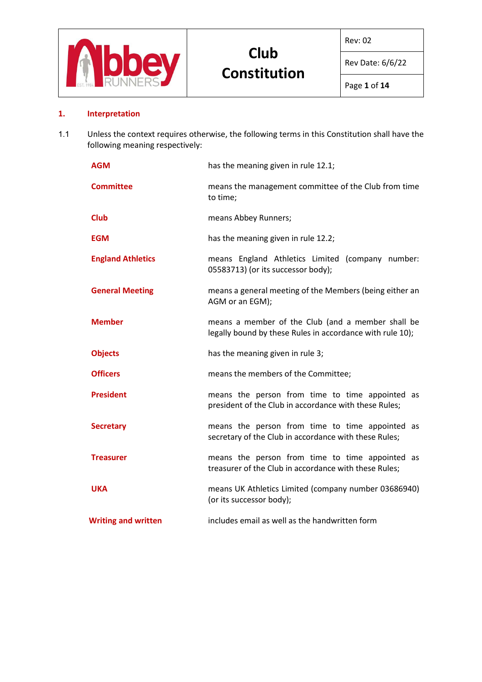

Rev: 02

Rev Date: 6/6/22

# **1. Interpretation**

1.1 Unless the context requires otherwise, the following terms in this Constitution shall have the following meaning respectively:

| <b>AGM</b>                 | has the meaning given in rule 12.1;                                                                            |  |  |
|----------------------------|----------------------------------------------------------------------------------------------------------------|--|--|
| <b>Committee</b>           | means the management committee of the Club from time<br>to time;                                               |  |  |
| <b>Club</b>                | means Abbey Runners;                                                                                           |  |  |
| <b>EGM</b>                 | has the meaning given in rule 12.2;                                                                            |  |  |
| <b>England Athletics</b>   | means England Athletics Limited (company number:<br>05583713) (or its successor body);                         |  |  |
| <b>General Meeting</b>     | means a general meeting of the Members (being either an<br>AGM or an EGM);                                     |  |  |
| <b>Member</b>              | means a member of the Club (and a member shall be<br>legally bound by these Rules in accordance with rule 10); |  |  |
| <b>Objects</b>             | has the meaning given in rule 3;                                                                               |  |  |
| <b>Officers</b>            | means the members of the Committee;                                                                            |  |  |
| <b>President</b>           | means the person from time to time appointed as<br>president of the Club in accordance with these Rules;       |  |  |
| <b>Secretary</b>           | means the person from time to time appointed as<br>secretary of the Club in accordance with these Rules;       |  |  |
| <b>Treasurer</b>           | means the person from time to time appointed as<br>treasurer of the Club in accordance with these Rules;       |  |  |
| <b>UKA</b>                 | means UK Athletics Limited (company number 03686940)<br>(or its successor body);                               |  |  |
| <b>Writing and written</b> | includes email as well as the handwritten form                                                                 |  |  |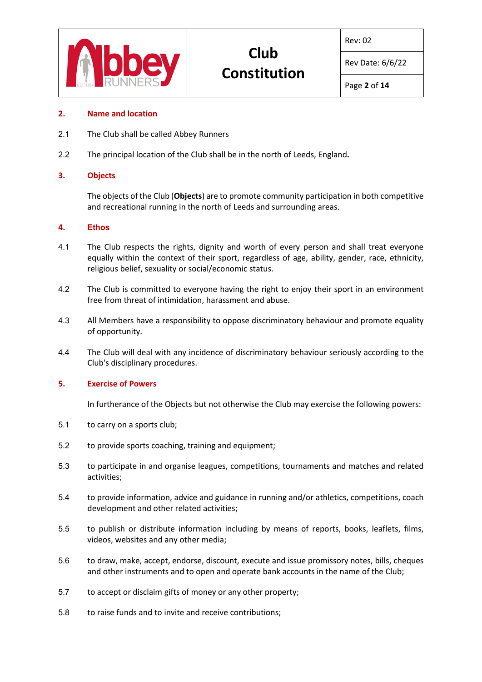

Rev: 02

Rev Date: 6/6/22

#### **2. Name and location**

- 2.1 The Club shall be called Abbey Runners
- 2.2 The principal location of the Club shall be in the north of Leeds, England**.**

#### **3. Objects**

The objects of the Club (**Objects**) are to promote community participation in both competitive and recreational running in the north of Leeds and surrounding areas.

#### **4. Ethos**

- 4.1 The Club respects the rights, dignity and worth of every person and shall treat everyone equally within the context of their sport, regardless of age, ability, gender, race, ethnicity, religious belief, sexuality or social/economic status.
- 4.2 The Club is committed to everyone having the right to enjoy their sport in an environment free from threat of intimidation, harassment and abuse.
- 4.3 All Members have a responsibility to oppose discriminatory behaviour and promote equality of opportunity.
- 4.4 The Club will deal with any incidence of discriminatory behaviour seriously according to the Club's disciplinary procedures.

#### **5. Exercise of Powers**

In furtherance of the Objects but not otherwise the Club may exercise the following powers:

- 5.1 to carry on a sports club;
- 5.2 to provide sports coaching, training and equipment;
- 5.3 to participate in and organise leagues, competitions, tournaments and matches and related activities;
- 5.4 to provide information, advice and guidance in running and/or athletics, competitions, coach development and other related activities;
- 5.5 to publish or distribute information including by means of reports, books, leaflets, films, videos, websites and any other media;
- 5.6 to draw, make, accept, endorse, discount, execute and issue promissory notes, bills, cheques and other instruments and to open and operate bank accounts in the name of the Club;
- 5.7 to accept or disclaim gifts of money or any other property;
- 5.8 to raise funds and to invite and receive contributions;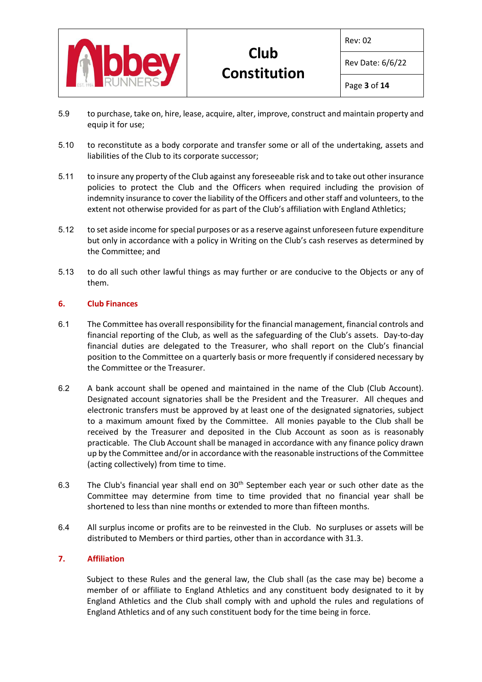

Rev: 02

Rev Date: 6/6/22

- 5.9 to purchase, take on, hire, lease, acquire, alter, improve, construct and maintain property and equip it for use;
- 5.10 to reconstitute as a body corporate and transfer some or all of the undertaking, assets and liabilities of the Club to its corporate successor;
- 5.11 to insure any property of the Club against any foreseeable risk and to take out other insurance policies to protect the Club and the Officers when required including the provision of indemnity insurance to cover the liability of the Officers and other staff and volunteers, to the extent not otherwise provided for as part of the Club's affiliation with England Athletics;
- 5.12 to set aside income for special purposes or as a reserve against unforeseen future expenditure but only in accordance with a policy in Writing on the Club's cash reserves as determined by the Committee; and
- 5.13 to do all such other lawful things as may further or are conducive to the Objects or any of them.

# **6. Club Finances**

- 6.1 The Committee has overall responsibility for the financial management, financial controls and financial reporting of the Club, as well as the safeguarding of the Club's assets. Day-to-day financial duties are delegated to the Treasurer, who shall report on the Club's financial position to the Committee on a quarterly basis or more frequently if considered necessary by the Committee or the Treasurer.
- 6.2 A bank account shall be opened and maintained in the name of the Club (Club Account). Designated account signatories shall be the President and the Treasurer. All cheques and electronic transfers must be approved by at least one of the designated signatories, subject to a maximum amount fixed by the Committee. All monies payable to the Club shall be received by the Treasurer and deposited in the Club Account as soon as is reasonably practicable. The Club Account shall be managed in accordance with any finance policy drawn up by the Committee and/or in accordance with the reasonable instructions of the Committee (acting collectively) from time to time.
- 6.3 The Club's financial year shall end on  $30<sup>th</sup>$  September each year or such other date as the Committee may determine from time to time provided that no financial year shall be shortened to less than nine months or extended to more than fifteen months.
- 6.4 All surplus income or profits are to be reinvested in the Club. No surpluses or assets will be distributed to Members or third parties, other than in accordance with 31.3.

# **7. Affiliation**

Subject to these Rules and the general law, the Club shall (as the case may be) become a member of or affiliate to England Athletics and any constituent body designated to it by England Athletics and the Club shall comply with and uphold the rules and regulations of England Athletics and of any such constituent body for the time being in force.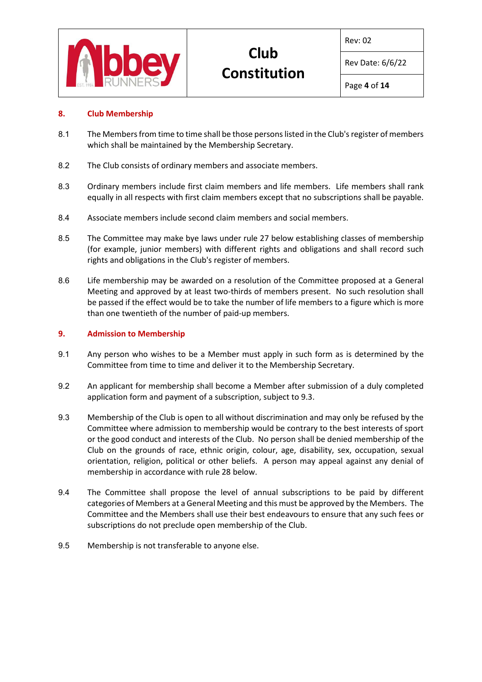

Rev: 02

Rev Date: 6/6/22

# **8. Club Membership**

- 8.1 The Members from time to time shall be those persons listed in the Club's register of members which shall be maintained by the Membership Secretary.
- 8.2 The Club consists of ordinary members and associate members.
- 8.3 Ordinary members include first claim members and life members. Life members shall rank equally in all respects with first claim members except that no subscriptions shall be payable.
- 8.4 Associate members include second claim members and social members.
- 8.5 The Committee may make bye laws under rule 27 below establishing classes of membership (for example, junior members) with different rights and obligations and shall record such rights and obligations in the Club's register of members.
- 8.6 Life membership may be awarded on a resolution of the Committee proposed at a General Meeting and approved by at least two-thirds of members present. No such resolution shall be passed if the effect would be to take the number of life members to a figure which is more than one twentieth of the number of paid-up members.

#### **9. Admission to Membership**

- 9.1 Any person who wishes to be a Member must apply in such form as is determined by the Committee from time to time and deliver it to the Membership Secretary.
- 9.2 An applicant for membership shall become a Member after submission of a duly completed application form and payment of a subscription, subject to 9.3.
- 9.3 Membership of the Club is open to all without discrimination and may only be refused by the Committee where admission to membership would be contrary to the best interests of sport or the good conduct and interests of the Club. No person shall be denied membership of the Club on the grounds of race, ethnic origin, colour, age, disability, sex, occupation, sexual orientation, religion, political or other beliefs. A person may appeal against any denial of membership in accordance with rule 28 below.
- 9.4 The Committee shall propose the level of annual subscriptions to be paid by different categories of Members at a General Meeting and this must be approved by the Members. The Committee and the Members shall use their best endeavours to ensure that any such fees or subscriptions do not preclude open membership of the Club.
- 9.5 Membership is not transferable to anyone else.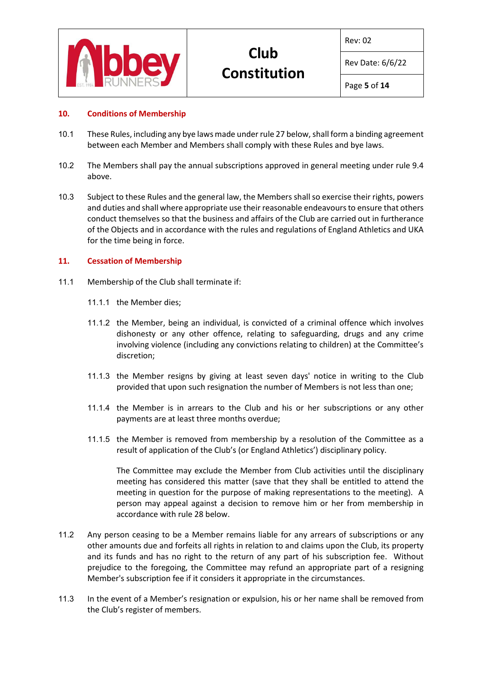

Rev: 02

Rev Date: 6/6/22

### **10. Conditions of Membership**

- 10.1 These Rules, including any bye laws made under rule 27 below, shall form a binding agreement between each Member and Members shall comply with these Rules and bye laws.
- 10.2 The Members shall pay the annual subscriptions approved in general meeting under rule 9.4 above.
- 10.3 Subject to these Rules and the general law, the Members shall so exercise their rights, powers and duties and shall where appropriate use their reasonable endeavours to ensure that others conduct themselves so that the business and affairs of the Club are carried out in furtherance of the Objects and in accordance with the rules and regulations of England Athletics and UKA for the time being in force.

#### **11. Cessation of Membership**

- 11.1 Membership of the Club shall terminate if:
	- 11.1.1 the Member dies;
	- 11.1.2 the Member, being an individual, is convicted of a criminal offence which involves dishonesty or any other offence, relating to safeguarding, drugs and any crime involving violence (including any convictions relating to children) at the Committee's discretion;
	- 11.1.3 the Member resigns by giving at least seven days' notice in writing to the Club provided that upon such resignation the number of Members is not less than one;
	- 11.1.4 the Member is in arrears to the Club and his or her subscriptions or any other payments are at least three months overdue;
	- 11.1.5 the Member is removed from membership by a resolution of the Committee as a result of application of the Club's (or England Athletics') disciplinary policy.

The Committee may exclude the Member from Club activities until the disciplinary meeting has considered this matter (save that they shall be entitled to attend the meeting in question for the purpose of making representations to the meeting). A person may appeal against a decision to remove him or her from membership in accordance with rule 28 below.

- 11.2 Any person ceasing to be a Member remains liable for any arrears of subscriptions or any other amounts due and forfeits all rights in relation to and claims upon the Club, its property and its funds and has no right to the return of any part of his subscription fee. Without prejudice to the foregoing, the Committee may refund an appropriate part of a resigning Member's subscription fee if it considers it appropriate in the circumstances.
- 11.3 In the event of a Member's resignation or expulsion, his or her name shall be removed from the Club's register of members.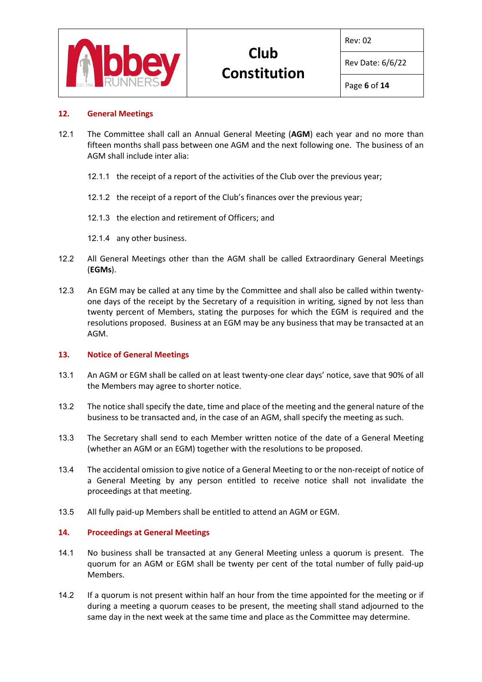

Rev: 02

Rev Date: 6/6/22

# **12. General Meetings**

- 12.1 The Committee shall call an Annual General Meeting (**AGM**) each year and no more than fifteen months shall pass between one AGM and the next following one. The business of an AGM shall include inter alia:
	- 12.1.1 the receipt of a report of the activities of the Club over the previous year;
	- 12.1.2 the receipt of a report of the Club's finances over the previous year;
	- 12.1.3 the election and retirement of Officers; and
	- 12.1.4 any other business.
- 12.2 All General Meetings other than the AGM shall be called Extraordinary General Meetings (**EGMs**).
- 12.3 An EGM may be called at any time by the Committee and shall also be called within twentyone days of the receipt by the Secretary of a requisition in writing, signed by not less than twenty percent of Members, stating the purposes for which the EGM is required and the resolutions proposed. Business at an EGM may be any business that may be transacted at an AGM.

# **13. Notice of General Meetings**

- 13.1 An AGM or EGM shall be called on at least twenty-one clear days' notice, save that 90% of all the Members may agree to shorter notice.
- 13.2 The notice shall specify the date, time and place of the meeting and the general nature of the business to be transacted and, in the case of an AGM, shall specify the meeting as such.
- 13.3 The Secretary shall send to each Member written notice of the date of a General Meeting (whether an AGM or an EGM) together with the resolutions to be proposed.
- 13.4 The accidental omission to give notice of a General Meeting to or the non-receipt of notice of a General Meeting by any person entitled to receive notice shall not invalidate the proceedings at that meeting.
- 13.5 All fully paid-up Members shall be entitled to attend an AGM or EGM.

# **14. Proceedings at General Meetings**

- 14.1 No business shall be transacted at any General Meeting unless a quorum is present. The quorum for an AGM or EGM shall be twenty per cent of the total number of fully paid-up Members.
- 14.2 If a quorum is not present within half an hour from the time appointed for the meeting or if during a meeting a quorum ceases to be present, the meeting shall stand adjourned to the same day in the next week at the same time and place as the Committee may determine.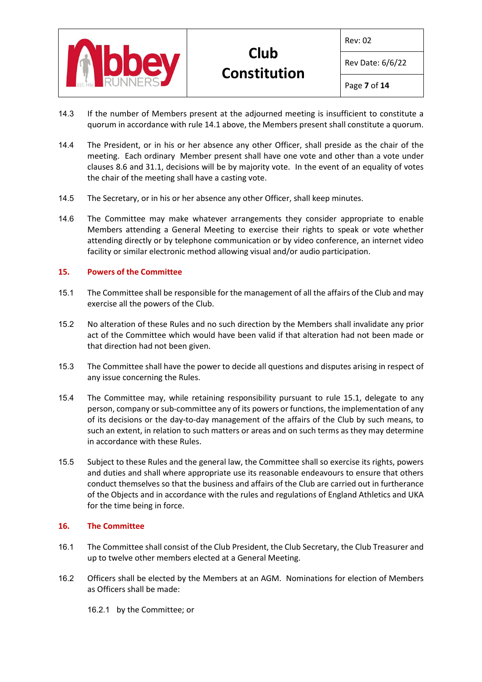

Rev: 02

Rev Date: 6/6/22

Page **7** of **14**

- 14.3 If the number of Members present at the adjourned meeting is insufficient to constitute a quorum in accordance with rule 14.1 above, the Members present shall constitute a quorum.
- 14.4 The President, or in his or her absence any other Officer, shall preside as the chair of the meeting. Each ordinary Member present shall have one vote and other than a vote under clauses 8.6 and 31.1, decisions will be by majority vote. In the event of an equality of votes the chair of the meeting shall have a casting vote.
- 14.5 The Secretary, or in his or her absence any other Officer, shall keep minutes.
- 14.6 The Committee may make whatever arrangements they consider appropriate to enable Members attending a General Meeting to exercise their rights to speak or vote whether attending directly or by telephone communication or by video conference, an internet video facility or similar electronic method allowing visual and/or audio participation.

# **15. Powers of the Committee**

- 15.1 The Committee shall be responsible for the management of all the affairs of the Club and may exercise all the powers of the Club.
- 15.2 No alteration of these Rules and no such direction by the Members shall invalidate any prior act of the Committee which would have been valid if that alteration had not been made or that direction had not been given.
- 15.3 The Committee shall have the power to decide all questions and disputes arising in respect of any issue concerning the Rules.
- 15.4 The Committee may, while retaining responsibility pursuant to rule 15.1, delegate to any person, company or sub-committee any of its powers or functions, the implementation of any of its decisions or the day-to-day management of the affairs of the Club by such means, to such an extent, in relation to such matters or areas and on such terms as they may determine in accordance with these Rules.
- 15.5 Subject to these Rules and the general law, the Committee shall so exercise its rights, powers and duties and shall where appropriate use its reasonable endeavours to ensure that others conduct themselves so that the business and affairs of the Club are carried out in furtherance of the Objects and in accordance with the rules and regulations of England Athletics and UKA for the time being in force.

# **16. The Committee**

- 16.1 The Committee shall consist of the Club President, the Club Secretary, the Club Treasurer and up to twelve other members elected at a General Meeting.
- 16.2 Officers shall be elected by the Members at an AGM. Nominations for election of Members as Officers shall be made:
	- 16.2.1 by the Committee; or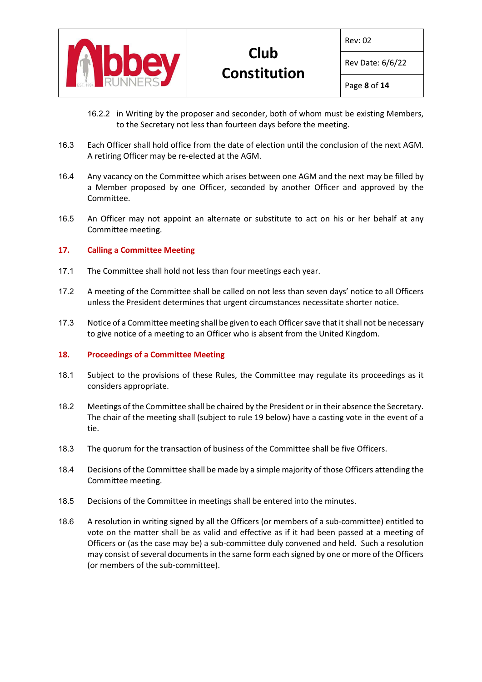

Rev: 02

Rev Date: 6/6/22

- 16.2.2 in Writing by the proposer and seconder, both of whom must be existing Members, to the Secretary not less than fourteen days before the meeting.
- 16.3 Each Officer shall hold office from the date of election until the conclusion of the next AGM. A retiring Officer may be re-elected at the AGM.
- 16.4 Any vacancy on the Committee which arises between one AGM and the next may be filled by a Member proposed by one Officer, seconded by another Officer and approved by the Committee.
- 16.5 An Officer may not appoint an alternate or substitute to act on his or her behalf at any Committee meeting.

# **17. Calling a Committee Meeting**

- 17.1 The Committee shall hold not less than four meetings each year.
- 17.2 A meeting of the Committee shall be called on not less than seven days' notice to all Officers unless the President determines that urgent circumstances necessitate shorter notice.
- 17.3 Notice of a Committee meeting shall be given to each Officer save that it shall not be necessary to give notice of a meeting to an Officer who is absent from the United Kingdom.

#### **18. Proceedings of a Committee Meeting**

- 18.1 Subject to the provisions of these Rules, the Committee may regulate its proceedings as it considers appropriate.
- 18.2 Meetings of the Committee shall be chaired by the President or in their absence the Secretary. The chair of the meeting shall (subject to rule 19 below) have a casting vote in the event of a tie.
- 18.3 The quorum for the transaction of business of the Committee shall be five Officers.
- 18.4 Decisions of the Committee shall be made by a simple majority of those Officers attending the Committee meeting.
- 18.5 Decisions of the Committee in meetings shall be entered into the minutes.
- 18.6 A resolution in writing signed by all the Officers (or members of a sub-committee) entitled to vote on the matter shall be as valid and effective as if it had been passed at a meeting of Officers or (as the case may be) a sub-committee duly convened and held. Such a resolution may consist of several documents in the same form each signed by one or more of the Officers (or members of the sub-committee).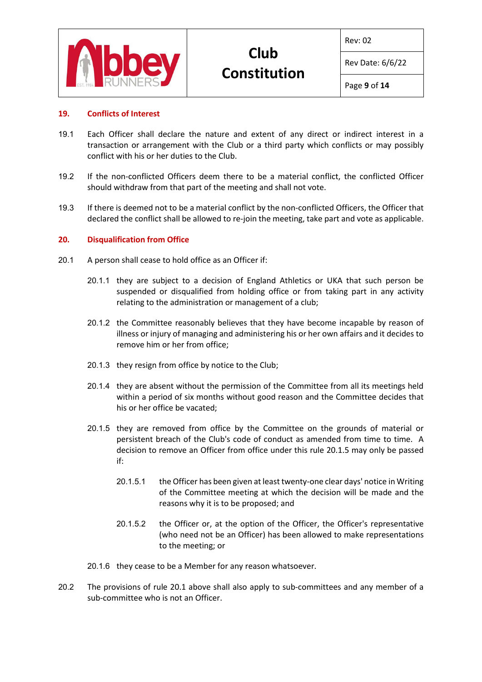

Rev: 02

Rev Date: 6/6/22

### **19. Conflicts of Interest**

- 19.1 Each Officer shall declare the nature and extent of any direct or indirect interest in a transaction or arrangement with the Club or a third party which conflicts or may possibly conflict with his or her duties to the Club.
- 19.2 If the non-conflicted Officers deem there to be a material conflict, the conflicted Officer should withdraw from that part of the meeting and shall not vote.
- 19.3 If there is deemed not to be a material conflict by the non-conflicted Officers, the Officer that declared the conflict shall be allowed to re-join the meeting, take part and vote as applicable.

#### **20. Disqualification from Office**

- 20.1 A person shall cease to hold office as an Officer if:
	- 20.1.1 they are subject to a decision of England Athletics or UKA that such person be suspended or disqualified from holding office or from taking part in any activity relating to the administration or management of a club;
	- 20.1.2 the Committee reasonably believes that they have become incapable by reason of illness or injury of managing and administering his or her own affairs and it decides to remove him or her from office;
	- 20.1.3 they resign from office by notice to the Club;
	- 20.1.4 they are absent without the permission of the Committee from all its meetings held within a period of six months without good reason and the Committee decides that his or her office be vacated;
	- 20.1.5 they are removed from office by the Committee on the grounds of material or persistent breach of the Club's code of conduct as amended from time to time. A decision to remove an Officer from office under this rule 20.1.5 may only be passed if:
		- 20.1.5.1 the Officer has been given at least twenty-one clear days' notice in Writing of the Committee meeting at which the decision will be made and the reasons why it is to be proposed; and
		- 20.1.5.2 the Officer or, at the option of the Officer, the Officer's representative (who need not be an Officer) has been allowed to make representations to the meeting; or
	- 20.1.6 they cease to be a Member for any reason whatsoever.
- 20.2 The provisions of rule 20.1 above shall also apply to sub-committees and any member of a sub-committee who is not an Officer.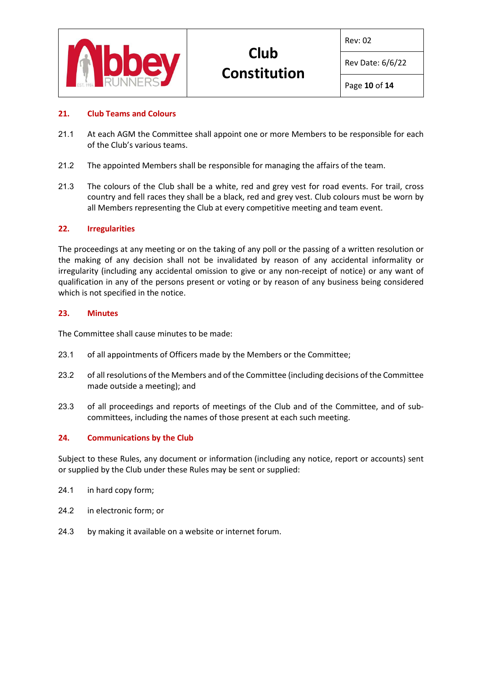

Rev: 02

Rev Date: 6/6/22

# **21. Club Teams and Colours**

- 21.1 At each AGM the Committee shall appoint one or more Members to be responsible for each of the Club's various teams.
- 21.2 The appointed Members shall be responsible for managing the affairs of the team.
- 21.3 The colours of the Club shall be a white, red and grey vest for road events. For trail, cross country and fell races they shall be a black, red and grey vest. Club colours must be worn by all Members representing the Club at every competitive meeting and team event.

# **22. Irregularities**

The proceedings at any meeting or on the taking of any poll or the passing of a written resolution or the making of any decision shall not be invalidated by reason of any accidental informality or irregularity (including any accidental omission to give or any non-receipt of notice) or any want of qualification in any of the persons present or voting or by reason of any business being considered which is not specified in the notice.

# **23. Minutes**

The Committee shall cause minutes to be made:

- 23.1 of all appointments of Officers made by the Members or the Committee;
- 23.2 of all resolutions of the Members and of the Committee (including decisions of the Committee made outside a meeting); and
- 23.3 of all proceedings and reports of meetings of the Club and of the Committee, and of subcommittees, including the names of those present at each such meeting.

# **24. Communications by the Club**

Subject to these Rules, any document or information (including any notice, report or accounts) sent or supplied by the Club under these Rules may be sent or supplied:

- 24.1 in hard copy form;
- 24.2 in electronic form; or
- 24.3 by making it available on a website or internet forum.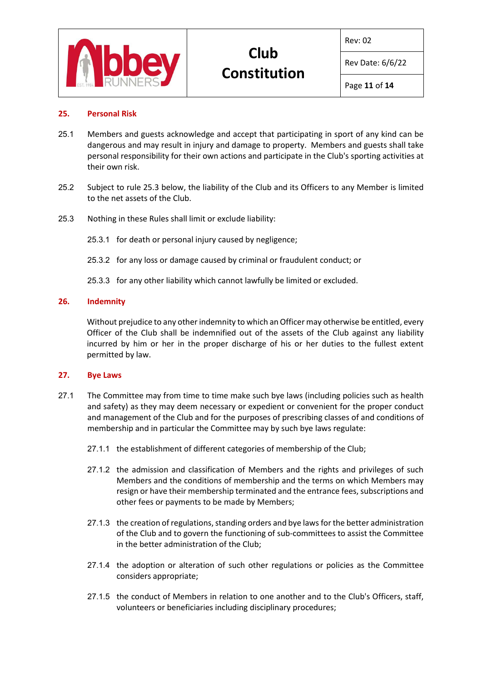

Rev: 02

Rev Date: 6/6/22

# **25. Personal Risk**

- 25.1 Members and guests acknowledge and accept that participating in sport of any kind can be dangerous and may result in injury and damage to property. Members and guests shall take personal responsibility for their own actions and participate in the Club's sporting activities at their own risk.
- 25.2 Subject to rule 25.3 below, the liability of the Club and its Officers to any Member is limited to the net assets of the Club.
- 25.3 Nothing in these Rules shall limit or exclude liability:
	- 25.3.1 for death or personal injury caused by negligence;
	- 25.3.2 for any loss or damage caused by criminal or fraudulent conduct; or
	- 25.3.3 for any other liability which cannot lawfully be limited or excluded.

#### **26. Indemnity**

Without prejudice to any other indemnity to which an Officer may otherwise be entitled, every Officer of the Club shall be indemnified out of the assets of the Club against any liability incurred by him or her in the proper discharge of his or her duties to the fullest extent permitted by law.

#### **27. Bye Laws**

- 27.1 The Committee may from time to time make such bye laws (including policies such as health and safety) as they may deem necessary or expedient or convenient for the proper conduct and management of the Club and for the purposes of prescribing classes of and conditions of membership and in particular the Committee may by such bye laws regulate:
	- 27.1.1 the establishment of different categories of membership of the Club;
	- 27.1.2 the admission and classification of Members and the rights and privileges of such Members and the conditions of membership and the terms on which Members may resign or have their membership terminated and the entrance fees, subscriptions and other fees or payments to be made by Members;
	- 27.1.3 the creation of regulations, standing orders and bye laws for the better administration of the Club and to govern the functioning of sub-committees to assist the Committee in the better administration of the Club;
	- 27.1.4 the adoption or alteration of such other regulations or policies as the Committee considers appropriate;
	- 27.1.5 the conduct of Members in relation to one another and to the Club's Officers, staff, volunteers or beneficiaries including disciplinary procedures;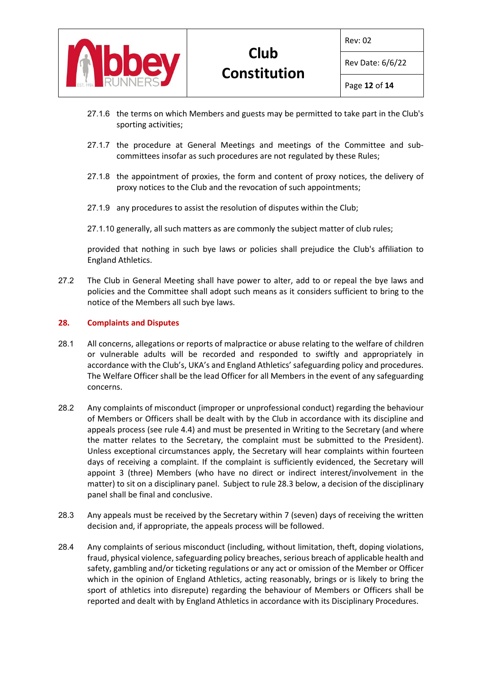

Rev: 02

Rev Date: 6/6/22

- 27.1.6 the terms on which Members and guests may be permitted to take part in the Club's sporting activities;
- 27.1.7 the procedure at General Meetings and meetings of the Committee and subcommittees insofar as such procedures are not regulated by these Rules;
- 27.1.8 the appointment of proxies, the form and content of proxy notices, the delivery of proxy notices to the Club and the revocation of such appointments;
- 27.1.9 any procedures to assist the resolution of disputes within the Club;
- 27.1.10 generally, all such matters as are commonly the subject matter of club rules;

provided that nothing in such bye laws or policies shall prejudice the Club's affiliation to England Athletics.

27.2 The Club in General Meeting shall have power to alter, add to or repeal the bye laws and policies and the Committee shall adopt such means as it considers sufficient to bring to the notice of the Members all such bye laws.

# **28. Complaints and Disputes**

- 28.1 All concerns, allegations or reports of malpractice or abuse relating to the welfare of children or vulnerable adults will be recorded and responded to swiftly and appropriately in accordance with the Club's, UKA's and England Athletics' safeguarding policy and procedures. The Welfare Officer shall be the lead Officer for all Members in the event of any safeguarding concerns.
- 28.2 Any complaints of misconduct (improper or unprofessional conduct) regarding the behaviour of Members or Officers shall be dealt with by the Club in accordance with its discipline and appeals process (see rule 4.4) and must be presented in Writing to the Secretary (and where the matter relates to the Secretary, the complaint must be submitted to the President). Unless exceptional circumstances apply, the Secretary will hear complaints within fourteen days of receiving a complaint. If the complaint is sufficiently evidenced, the Secretary will appoint 3 (three) Members (who have no direct or indirect interest/involvement in the matter) to sit on a disciplinary panel. Subject to rule 28.3 below, a decision of the disciplinary panel shall be final and conclusive.
- 28.3 Any appeals must be received by the Secretary within 7 (seven) days of receiving the written decision and, if appropriate, the appeals process will be followed.
- 28.4 Any complaints of serious misconduct (including, without limitation, theft, doping violations, fraud, physical violence, safeguarding policy breaches, serious breach of applicable health and safety, gambling and/or ticketing regulations or any act or omission of the Member or Officer which in the opinion of England Athletics, acting reasonably, brings or is likely to bring the sport of athletics into disrepute) regarding the behaviour of Members or Officers shall be reported and dealt with by England Athletics in accordance with its Disciplinary Procedures.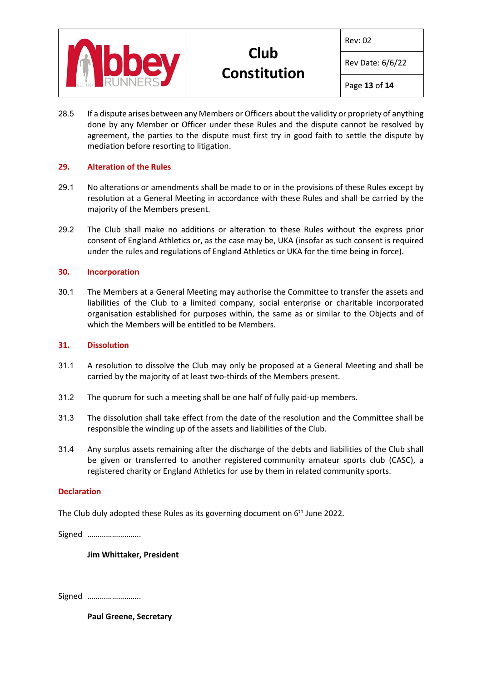

Rev: 02

Rev Date: 6/6/22

Page **13** of **14**

28.5 If a dispute arises between any Members or Officers about the validity or propriety of anything done by any Member or Officer under these Rules and the dispute cannot be resolved by agreement, the parties to the dispute must first try in good faith to settle the dispute by mediation before resorting to litigation.

# **29. Alteration of the Rules**

- 29.1 No alterations or amendments shall be made to or in the provisions of these Rules except by resolution at a General Meeting in accordance with these Rules and shall be carried by the majority of the Members present.
- 29.2 The Club shall make no additions or alteration to these Rules without the express prior consent of England Athletics or, as the case may be, UKA (insofar as such consent is required under the rules and regulations of England Athletics or UKA for the time being in force).

# **30. Incorporation**

30.1 The Members at a General Meeting may authorise the Committee to transfer the assets and liabilities of the Club to a limited company, social enterprise or charitable incorporated organisation established for purposes within, the same as or similar to the Objects and of which the Members will be entitled to be Members.

#### **31. Dissolution**

- 31.1 A resolution to dissolve the Club may only be proposed at a General Meeting and shall be carried by the majority of at least two-thirds of the Members present.
- 31.2 The quorum for such a meeting shall be one half of fully paid-up members.
- 31.3 The dissolution shall take effect from the date of the resolution and the Committee shall be responsible the winding up of the assets and liabilities of the Club.
- 31.4 Any surplus assets remaining after the discharge of the debts and liabilities of the Club shall be given or transferred to another registered community amateur sports club (CASC), a registered charity or England Athletics for use by them in related community sports.

# **Declaration**

The Club duly adopted these Rules as its governing document on 6<sup>th</sup> June 2022.

Signed ……………………..

**Jim Whittaker, President**

Signed ……………………..

**Paul Greene, Secretary**